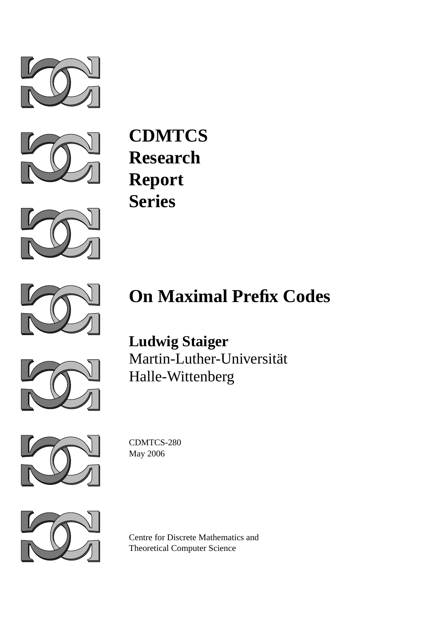



**CDMTCS Research Report Series**





## **On Maximal Prefix Codes**



**Ludwig Staiger** Martin-Luther-Universität Halle-Wittenberg



CDMTCS-280 May 2006



Centre for Discrete Mathematics and Theoretical Computer Science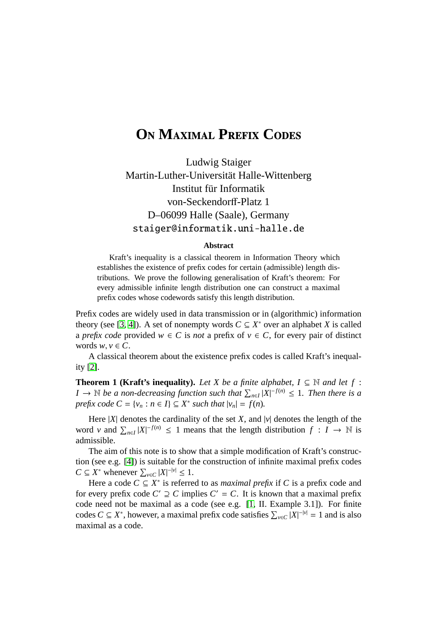## **O**N MAXIMAL PREFIX CODES

Ludwig Staiger Martin-Luther-Universität Halle-Wittenberg Institut für Informatik von-Seckendorff-Platz 1 D–06099 Halle (Saale), Germany staiger@informatik.uni-halle.de

## **Abstract**

Kraft's inequality is a classical theorem in Information Theory which establishes the existence of prefix codes for certain (admissible) length distributions. We prove the following generalisation of Kraft's theorem: For every admissible infinite length distribution one can construct a maximal prefix codes whose codewords satisfy this length distribution.

Prefix codes are widely used in data transmission or in (algorithmic) information theory (see [\[3,](#page-3-0) [4\]](#page-3-1)). A set of nonempty words  $C \subseteq X^*$  over an alphabet *X* is called a *prefix code* provided  $w \in C$  is *not* a prefix of  $v \in C$ , for every pair of distinct words  $w, v \in C$ .

A classical theorem about the existence prefix codes is called Kraft's inequality [\[2\]](#page-3-2).

**Theorem 1 (Kraft's inequality).** *Let X be a finite alphabet, I*  $\subseteq$  N *and let f* : *I* →  $\mathbb N$  *be a non-decreasing function such that*  $\sum_{n\in I} |X|^{-f(n)} \leq 1$ *. Then there is a prefix code*  $C = \{v_n : n \in I\} \subseteq X^*$  *such that*  $|v_n| = f(n)$ *.* 

Here  $|X|$  denotes the cardinality of the set *X*, and  $|v|$  denotes the length of the word *v* and  $\sum_{n\in I} |X|^{-f(n)} \le 1$  means that the length distribution  $f: I \to \mathbb{N}$  is admissible.

The aim of this note is to show that a simple modification of Kraft's construction (see e.g. [\[4\]](#page-3-1)) is suitable for the construction of infinite maximal prefix codes  $C \subseteq X^*$  whenever  $\sum_{v \in C} |X|^{-|v|} \leq 1$ .

Here a code  $C \subseteq X^*$  is referred to as *maximal prefix* if C is a prefix code and for every prefix code  $C' \supseteq C$  implies  $C' = C$ . It is known that a maximal prefix code need not be maximal as a code (see e.g. [\[1,](#page-3-3) II. Example 3.1]). For finite codes  $C \subseteq X^*$ , however, a maximal prefix code satisfies  $\sum_{v \in C} |X|^{-|v|} = 1$  and is also maximal as a code.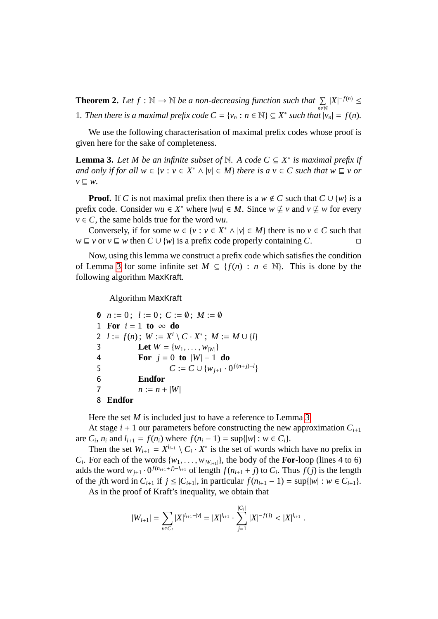**Theorem 2.** Let  $f : \mathbb{N} \to \mathbb{N}$  be a non-decreasing function such that  $\sum$ *n*∈N  $|X|^{-f(n)}$  ≤ 1. Then there is a maximal prefix code  $C = \{v_n : n \in \mathbb{N}\} \subseteq X^*$  such that  $|v_n| = f(n)$ .

We use the following characterisation of maximal prefix codes whose proof is given here for the sake of completeness.

<span id="page-2-0"></span>**Lemma 3.** Let M be an infinite subset of  $\mathbb N$ . A code  $C \subseteq X^*$  is maximal prefix if *and only if for all*  $w \in \{v : v \in X^* \land |v| \in M\}$  *there is a*  $v \in C$  *such that*  $w \sqsubseteq v$  *or*  $v \sqsubseteq w$ .

**Proof.** If *C* is not maximal prefix then there is a *w*  $\notin C$  such that  $C \cup \{w\}$  is a prefix code. Consider  $wu \in X^*$  where  $|wu| \in M$ . Since  $w \not\sqsubseteq v$  and  $v \not\sqsubseteq w$  for every  $v \in C$ , the same holds true for the word *wu*.

Conversely, if for some  $w \in \{v : v \in X^* \land |v| \in M\}$  there is no  $v \in C$  such that  $w \sqsubseteq v$  or  $v \sqsubseteq w$  then  $C \cup \{w\}$  is a prefix code properly containing C.

Now, using this lemma we construct a prefix code which satisfies the condition of Lemma [3](#page-2-0) for some infinite set  $M \subseteq \{f(n) : n \in \mathbb{N}\}\$ . This is done by the following algorithm MaxKraft.

Algorithm MaxKraft

0  $n := 0$ ;  $l := 0$ ;  $C := \emptyset$ ;  $M := \emptyset$ 1 **For**  $i = 1$  **to**  $\infty$  **do** 2  $l := f(n)$ ;  $W := X^l \setminus C \cdot X^*$ ;  $M := M \cup \{l\}$ 3 Let  $W = \{w_1, ..., w_{|W|}\}$ <br>4 **For**  $j = 0$  to  $|W| - 1$ **For**  $j = 0$  **to**  $|W| - 1$  **do** 5  $C := C \cup \{w_{j+1} \cdot 0^{f(n+j)-l}\}$ 6 **Endfor** 7  $n := n + |W|$ 8 **Endfor**

Here the set *M* is included just to have a reference to Lemma [3.](#page-2-0)

At stage  $i + 1$  our parameters before constructing the new approximation  $C_{i+1}$ are  $C_i$ ,  $n_i$  and  $l_{i+1} = f(n_i)$  where  $f(n_i - 1) = \sup\{|w| : w \in C_i\}$ .

Then the set  $W_{i+1} = X^{l_{i+1}} \setminus C_i \cdot X^*$  is the set of words which have no prefix in *C<sub>i</sub>*. For each of the words  $\{w_1, \ldots, w_{|W_{i+1}|}\}$ , the body of the **For**-loop (lines 4 to 6) adds the word  $w_i$ ,  $\ldots$   $0^{f(n_{i+1}+j)-l_{i+1}}$  of length  $f(n_{i+1}+j)$  to *C*. Thus  $f(j)$  is the length adds the word  $w_{j+1} \cdot 0^{f(n_{i+1}+j)-l_{i+1}}$  of length  $f(n_{i+1}+j)$  to  $C_i$ . Thus  $f(j)$  is the length of the *j*th word in  $C_{i+1}$  if *j* ≤ | $C_{i+1}$ |, in particular  $f(n_{i+1} - 1) = \sup\{|w| : w \in C_{i+1}\}.$ 

As in the proof of Kraft's inequality, we obtain that

$$
|W_{i+1}| = \sum_{v \in C_i} |X|^{l_{i+1} - |v|} = |X|^{l_{i+1}} \cdot \sum_{j=1}^{|C_i|} |X|^{-f(j)} < |X|^{l_{i+1}}.
$$